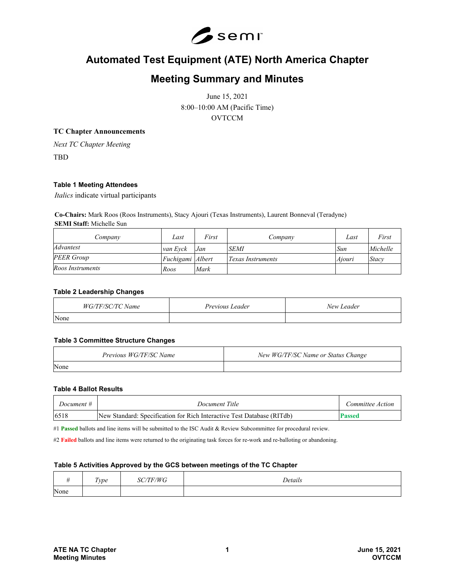

# **Automated Test Equipment (ATE) North America Chapter**

# **Meeting Summary and Minutes**

June 15, 2021 8:00–10:00 AM (Pacific Time) **OVTCCM** 

# **TC Chapter Announcements**

*Next TC Chapter Meeting*

TBD

# **Table 1 Meeting Attendees**

*Italics* indicate virtual participants

**Co-Chairs:** Mark Roos (Roos Instruments), Stacy Ajouri (Texas Instruments), Laurent Bonneval (Teradyne) **SEMI Staff:** Michelle Sun

| Company           | Last             | First | Company                  | Last   | First    |
|-------------------|------------------|-------|--------------------------|--------|----------|
| Advantest         | van Evck         | Jan   | <b>SEMI</b>              | Sun    | Michelle |
| <b>PEER Group</b> | Fuchigami Albert |       | <i>Texas Instruments</i> | Aiouri | Stacy    |
| Roos Instruments  | Roos             | Mark  |                          |        |          |

#### **Table 2 Leadership Changes**

| WG/TF/SC/TC Name | Previous Leader | New Leader |
|------------------|-----------------|------------|
| None             |                 |            |

#### **Table 3 Committee Structure Changes**

| Previous WG/TF/SC Name | New WG/TF/SC Name or Status Change |
|------------------------|------------------------------------|
| None                   |                                    |

# **Table 4 Ballot Results**

| Document # | Document Title                                                         | Committee Action |
|------------|------------------------------------------------------------------------|------------------|
| 6518       | New Standard: Specification for Rich Interactive Test Database (RITdb) | 'assed           |

#1 Passed ballots and line items will be submitted to the ISC Audit & Review Subcommittee for procedural review.

#2 **Failed** ballots and line items were returned to the originating task forces for re-work and re-balloting or abandoning.

### **Table 5 Activities Approved by the GCS between meetings of the TC Chapter**

|      | Type | <b>TF/WG</b><br>υC | Details |
|------|------|--------------------|---------|
| None |      |                    |         |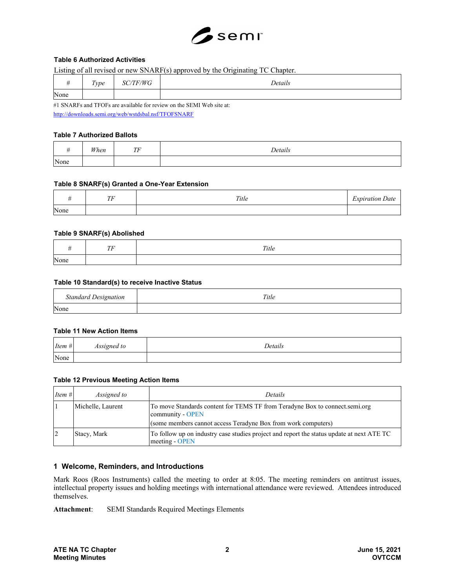

# **Table 6 Authorized Activities**

Listing of all revised or new SNARF(s) approved by the Originating TC Chapter.

| $\overline{11}$ | Type | /TF/WG<br>oπ | Details       |
|-----------------|------|--------------|---------------|
| None            |      |              |               |
|                 |      | .            | $\sim$ $\sim$ |

#1 SNARFs and TFOFs are available for review on the SEMI Web site at: <http://downloads.semi.org/web/wstdsbal.nsf/TFOFSNARF>

# **Table 7 Authorized Ballots**

|      | When | TF<br>. . | Details |
|------|------|-----------|---------|
| None |      |           |         |

### **Table 8 SNARF(s) Granted a One-Year Extension**

|      | $T\!F$ | Title | $i$ as an instant in case.<br>Date<br>. uttor |
|------|--------|-------|-----------------------------------------------|
| None |        |       |                                               |

### **Table 9 SNARF(s) Abolished**

|      | TE<br>1 F | Title |
|------|-----------|-------|
| None |           |       |

# **Table 10 Standard(s) to receive Inactive Status**

| <b>Standard Designation</b> | Title |
|-----------------------------|-------|
| None                        |       |

#### **Table 11 New Action Items**

| Item $#$ | $c$ $c$ <i>i</i> $\alpha$ <i>in</i><br>ned to<br>--- | Details |
|----------|------------------------------------------------------|---------|
| None     |                                                      |         |

### **Table 12 Previous Meeting Action Items**

| <i>Item</i> $#$ | <i>Assigned to</i> | <i>Details</i>                                                                                                                                                   |
|-----------------|--------------------|------------------------------------------------------------------------------------------------------------------------------------------------------------------|
|                 | Michelle, Laurent  | To move Standards content for TEMS TF from Teradyne Box to connect.semi.org<br>community - OPEN<br>(some members cannot access Teradyne Box from work computers) |
|                 | Stacy, Mark        | To follow up on industry case studies project and report the status update at next ATE TC<br>meeting - OPEN                                                      |

# **1 Welcome, Reminders, and Introductions**

Mark Roos (Roos Instruments) called the meeting to order at 8:05. The meeting reminders on antitrust issues, intellectual property issues and holding meetings with international attendance were reviewed. Attendees introduced themselves.

**Attachment**: SEMI Standards Required Meetings Elements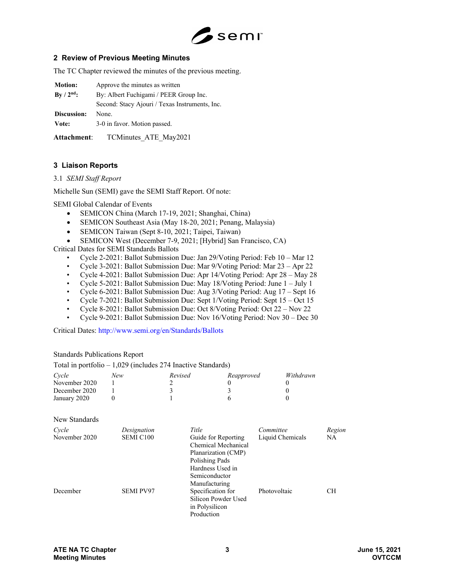

# **2 Review of Previous Meeting Minutes**

The TC Chapter reviewed the minutes of the previous meeting.

| <b>Motion:</b> | Approve the minutes as written                 |  |
|----------------|------------------------------------------------|--|
| $By / 2nd$ :   | By: Albert Fuchigami / PEER Group Inc.         |  |
|                | Second: Stacy Ajouri / Texas Instruments, Inc. |  |
| Discussion:    | None.                                          |  |
| Vote:          | 3-0 in favor. Motion passed.                   |  |
|                |                                                |  |

**Attachment**: TCMinutes\_ATE\_May2021

# **3 Liaison Reports**

3.1 *SEMI Staff Report*

Michelle Sun (SEMI) gave the SEMI Staff Report. Of note:

SEMI Global Calendar of Events

- SEMICON China (March 17-19, 2021; Shanghai, China)
- SEMICON Southeast Asia (May 18-20, 2021; Penang, Malaysia)
- SEMICON Taiwan (Sept 8-10, 2021; Taipei, Taiwan)
- SEMICON West (December 7-9, 2021; [Hybrid] San Francisco, CA)

Critical Dates for SEMI Standards Ballots

- Cycle 2-2021: Ballot Submission Due: Jan 29/Voting Period: Feb 10 Mar 12
- Cycle 3-2021: Ballot Submission Due: Mar 9/Voting Period: Mar 23 Apr 22
- Cycle 4-2021: Ballot Submission Due: Apr 14/Voting Period: Apr 28 May 28
- Cycle 5-2021: Ballot Submission Due: May 18/Voting Period: June 1 July 1
- Cycle 6-2021: Ballot Submission Due: Aug 3/Voting Period: Aug 17 Sept 16
- Cycle 7-2021: Ballot Submission Due: Sept 1/Voting Period: Sept 15 Oct 15
- Cycle 8-2021: Ballot Submission Due: Oct 8/Voting Period: Oct 22 Nov 22
- Cycle 9-2021: Ballot Submission Due: Nov 16/Voting Period: Nov 30 Dec 30

Critical Dates: http://www.semi.org/en/Standards/Ballots

### Standards Publications Report

Total in portfolio – 1,029 (includes 274 Inactive Standards)

| Cycle         | New | Revised | Reapproved | Withdrawn |
|---------------|-----|---------|------------|-----------|
| November 2020 |     |         |            |           |
| December 2020 |     |         |            |           |
| January 2020  |     |         |            |           |

#### New Standards

| Cycle<br>November 2020 | Designation<br><b>SEMI C100</b> | Title<br>Guide for Reporting<br>Chemical Mechanical<br>Planarization (CMP)<br>Polishing Pads<br>Hardness Used in | Committee<br>Liquid Chemicals | Region<br>NA |
|------------------------|---------------------------------|------------------------------------------------------------------------------------------------------------------|-------------------------------|--------------|
| December               | <b>SEMI PV97</b>                | Semiconductor<br>Manufacturing<br>Specification for<br>Silicon Powder Used<br>in Polysilicon<br>Production       | Photovoltaic                  | <b>CH</b>    |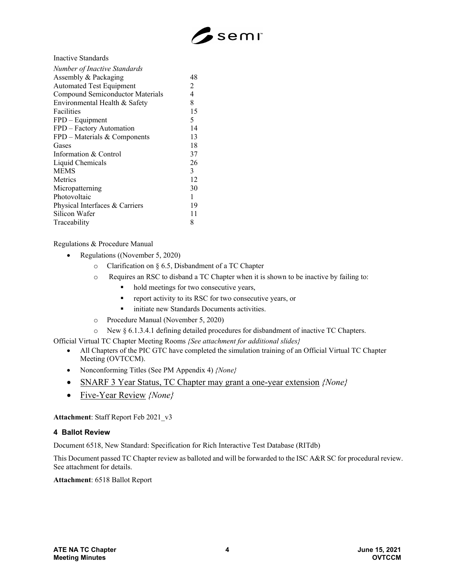

Inactive Standards

| <b>Number of Inactive Standards</b>     |                |
|-----------------------------------------|----------------|
| Assembly & Packaging                    | 48             |
| <b>Automated Test Equipment</b>         | $\overline{2}$ |
| <b>Compound Semiconductor Materials</b> | 4              |
| Environmental Health & Safety           | 8              |
| Facilities                              | 15             |
| $FPD - Equipment$                       | 5              |
| FPD - Factory Automation                | 14             |
| $FPD$ – Materials & Components          | 13             |
| Gases                                   | 18             |
| Information & Control                   | 37             |
| Liquid Chemicals                        | 26             |
| <b>MEMS</b>                             | 3              |
| Metrics                                 | 12             |
| Micropatterning                         | 30             |
| Photovoltaic                            | 1              |
| Physical Interfaces & Carriers          | 19             |
| Silicon Wafer                           | 11             |
| Traceability                            | 8              |

Regulations & Procedure Manual

- Regulations ((November 5, 2020)
	- o Clarification on § 6.5, Disbandment of a TC Chapter
	- o Requires an RSC to disband a TC Chapter when it is shown to be inactive by failing to:
		- hold meetings for two consecutive years,
		- **report activity to its RSC for two consecutive years, or**
		- **initiate new Standards Documents activities.**
	- o Procedure Manual (November 5, 2020)
	- o New § 6.1.3.4.1 defining detailed procedures for disbandment of inactive TC Chapters.

Official Virtual TC Chapter Meeting Rooms *{See attachment for additional slides}* 

- All Chapters of the PIC GTC have completed the simulation training of an Official Virtual TC Chapter Meeting (OVTCCM).
- Nonconforming Titles (See PM Appendix 4) *{None}*
- SNARF 3 Year Status, TC Chapter may grant a one-year extension *{None}*
- Five-Year Review *{None}*

**Attachment**: Staff Report Feb 2021\_v3

# **4 Ballot Review**

Document 6518, New Standard: Specification for Rich Interactive Test Database (RITdb)

This Document passed TC Chapter review as balloted and will be forwarded to the ISC A&R SC for procedural review. See attachment for details.

**Attachment**: 6518 Ballot Report